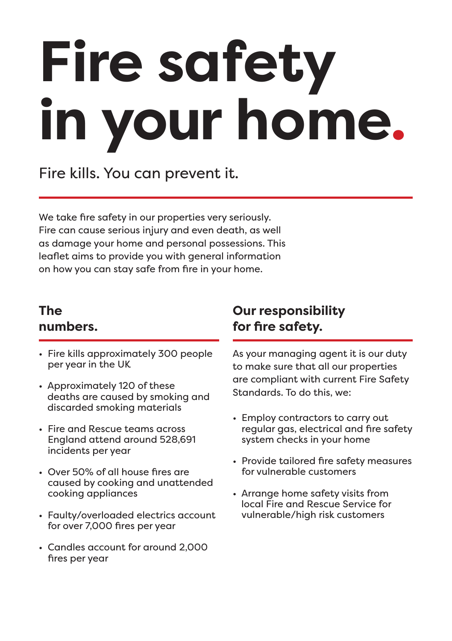# **Fire safety in your home.**

Fire kills. You can prevent it.

We take fire safety in our properties very seriously. Fire can cause serious injury and even death, as well as damage your home and personal possessions. This leaflet aims to provide you with general information on how you can stay safe from fire in your home.

## **The numbers.**

- Fire kills approximately 300 people per year in the UK
- Approximately 120 of these deaths are caused by smoking and discarded smoking materials
- Fire and Rescue teams across England attend around 528,691 incidents per year
- Over 50% of all house fires are caused by cooking and unattended cooking appliances
- Faulty/overloaded electrics account for over 7,000 fires per year
- Candles account for around 2,000 fires per year

## **Our responsibility for fire safety.**

As your managing agent it is our duty to make sure that all our properties are compliant with current Fire Safety Standards. To do this, we:

- Employ contractors to carry out regular gas, electrical and fire safety system checks in your home
- Provide tailored fire safety measures for vulnerable customers
- Arrange home safety visits from local Fire and Rescue Service for vulnerable/high risk customers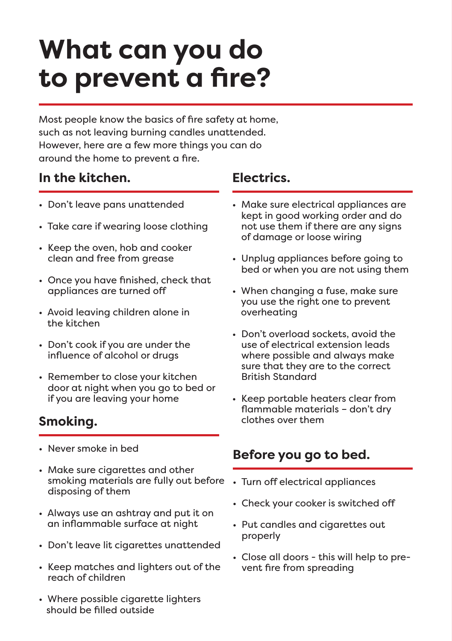## **What can you do to prevent a fire?**

Most people know the basics of fire safety at home, such as not leaving burning candles unattended. However, here are a few more things you can do around the home to prevent a fire.

## **In the kitchen. Electrics.**

- Don't leave pans unattended
- Take care if wearing loose clothing
- Keep the oven, hob and cooker clean and free from grease
- Once you have finished, check that appliances are turned off
- Avoid leaving children alone in the kitchen
- Don't cook if you are under the influence of alcohol or drugs
- Remember to close your kitchen door at night when you go to bed or if you are leaving your home

## **Smoking.**

- Never smoke in bed
- smoking materials are fully out before Turn off electrical appliances • Make sure cigarettes and other disposing of them
- Always use an ashtray and put it on an inflammable surface at night
- Don't leave lit cigarettes unattended
- Keep matches and lighters out of the reach of children
- Where possible cigarette lighters should be filled outside

- Make sure electrical appliances are kept in good working order and do not use them if there are any signs of damage or loose wiring
- Unplug appliances before going to bed or when you are not using them
- When changing a fuse, make sure you use the right one to prevent overheating
- Don't overload sockets, avoid the use of electrical extension leads where possible and always make sure that they are to the correct British Standard
- Keep portable heaters clear from flammable materials – don't dry clothes over them

## **Before you go to bed.**

- 
- Check your cooker is switched off
- Put candles and cigarettes out properly
- Close all doors this will help to prevent fire from spreading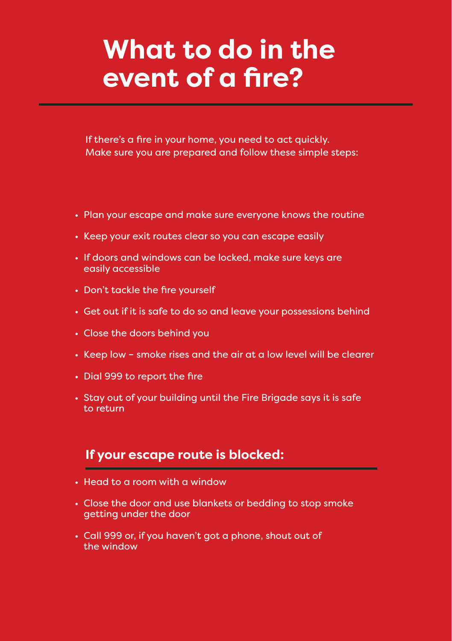## **What to do in the event of a fire?**

If there's a fire in your home, you need to act quickly. Make sure you are prepared and follow these simple steps:

- Plan your escape and make sure everyone knows the routine
- Keep your exit routes clear so you can escape easily
- If doors and windows can be locked, make sure keys are easily accessible
- Don't tackle the fire yourself
- Get out if it is safe to do so and leave your possessions behind
- Close the doors behind you
- Keep low smoke rises and the air at a low level will be clearer
- Dial 999 to report the fire
- Stay out of your building until the Fire Brigade says it is safe to return

### **If your escape route is blocked:**

- Head to a room with a window
- Close the door and use blankets or bedding to stop smoke getting under the door
- Call 999 or, if you haven't got a phone, shout out of the window